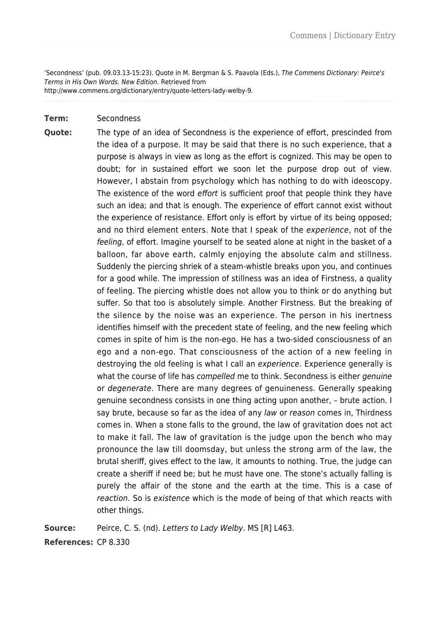'Secondness' (pub. 09.03.13-15:23). Quote in M. Bergman & S. Paavola (Eds.), The Commens Dictionary: Peirce's Terms in His Own Words. New Edition. Retrieved from http://www.commens.org/dictionary/entry/quote-letters-lady-welby-9.

## **Term:** Secondness

**Quote:** The type of an idea of Secondness is the experience of effort, prescinded from the idea of a purpose. It may be said that there is no such experience, that a purpose is always in view as long as the effort is cognized. This may be open to doubt; for in sustained effort we soon let the purpose drop out of view. However, I abstain from psychology which has nothing to do with ideoscopy. The existence of the word effort is sufficient proof that people think they have such an idea; and that is enough. The experience of effort cannot exist without the experience of resistance. Effort only is effort by virtue of its being opposed; and no third element enters. Note that I speak of the experience, not of the feeling, of effort. Imagine yourself to be seated alone at night in the basket of a balloon, far above earth, calmly enjoying the absolute calm and stillness. Suddenly the piercing shriek of a steam-whistle breaks upon you, and continues for a good while. The impression of stillness was an idea of Firstness, a quality of feeling. The piercing whistle does not allow you to think or do anything but suffer. So that too is absolutely simple. Another Firstness. But the breaking of the silence by the noise was an experience. The person in his inertness identifies himself with the precedent state of feeling, and the new feeling which comes in spite of him is the non-ego. He has a two-sided consciousness of an ego and a non-ego. That consciousness of the action of a new feeling in destroying the old feeling is what I call an experience. Experience generally is what the course of life has *compelled* me to think. Secondness is either *genuine* or degenerate. There are many degrees of genuineness. Generally speaking genuine secondness consists in one thing acting upon another, – brute action. I say brute, because so far as the idea of any law or reason comes in, Thirdness comes in. When a stone falls to the ground, the law of gravitation does not act to make it fall. The law of gravitation is the judge upon the bench who may pronounce the law till doomsday, but unless the strong arm of the law, the brutal sheriff, gives effect to the law, it amounts to nothing. True, the judge can create a sheriff if need be; but he must have one. The stone's actually falling is purely the affair of the stone and the earth at the time. This is a case of reaction. So is existence which is the mode of being of that which reacts with other things.

**Source:** Peirce, C. S. (nd). Letters to Lady Welby. MS [R] L463. **References:** CP 8.330